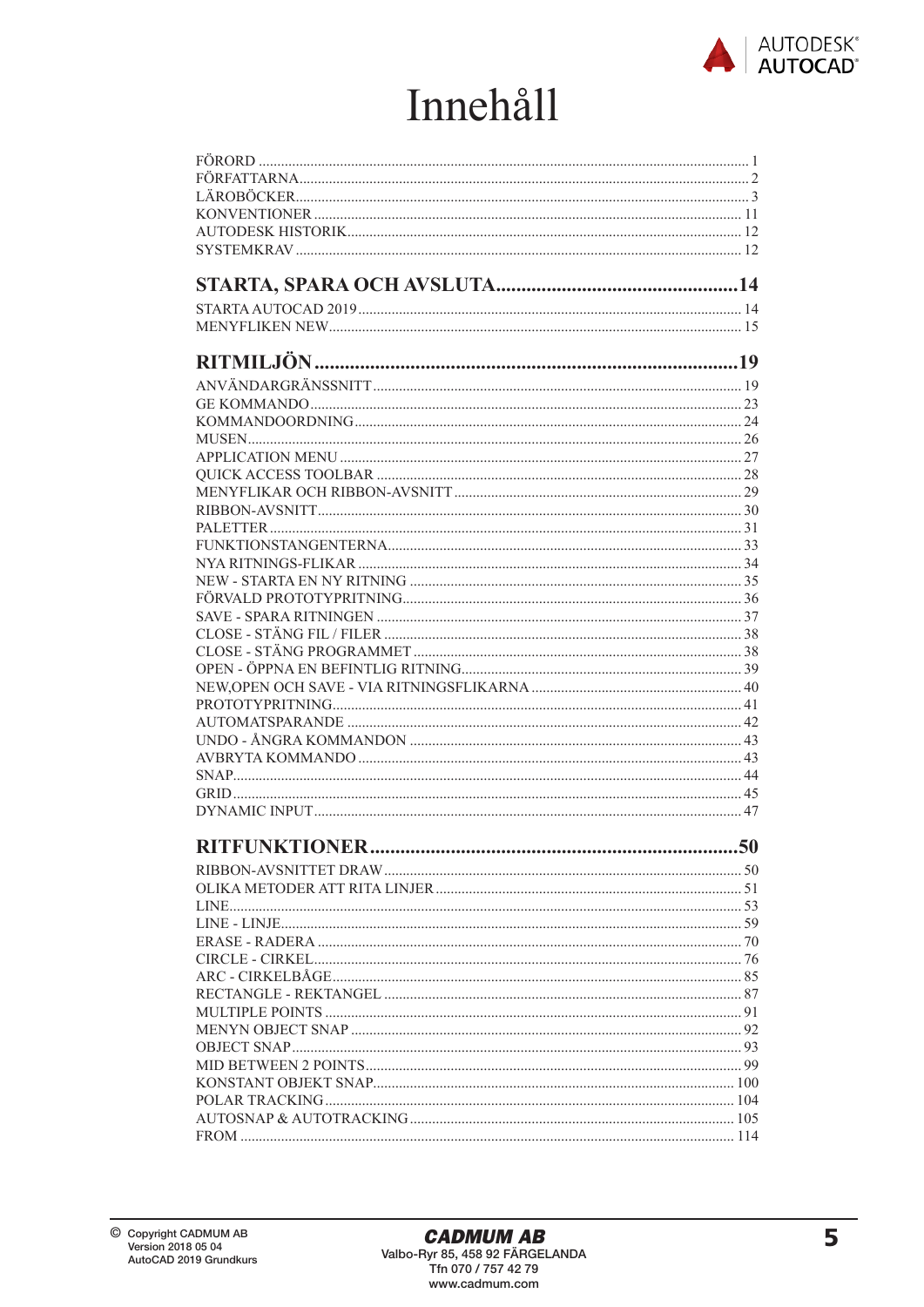

## **Innehåll**

| <b>RITFUNKTIONER</b> | 50 |
|----------------------|----|
|                      |    |
|                      |    |
|                      |    |
|                      |    |
|                      |    |
|                      |    |
|                      |    |
|                      |    |
|                      |    |
|                      |    |
|                      |    |
|                      |    |
|                      |    |
|                      |    |
|                      |    |
|                      |    |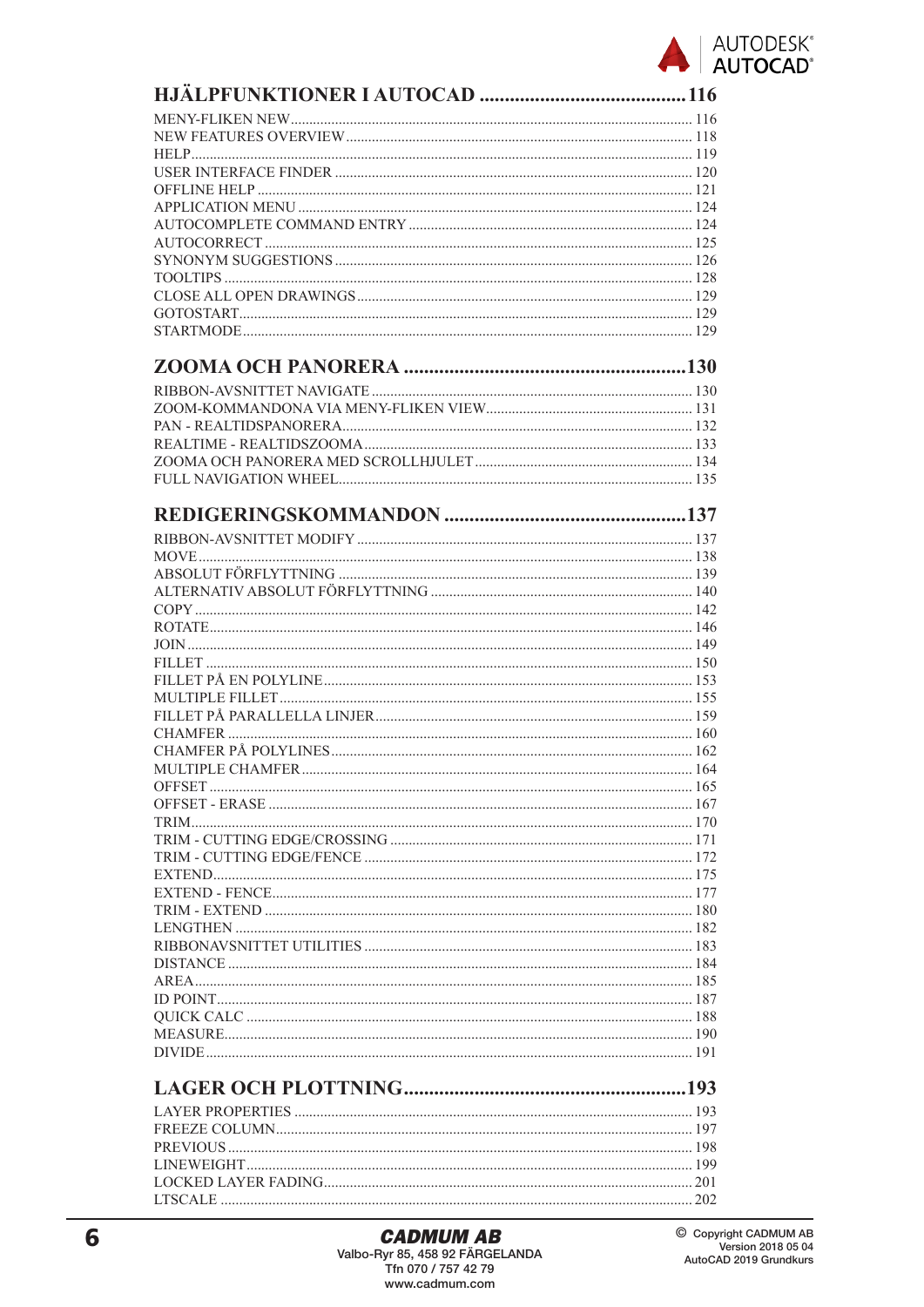

| <b>LACER OCH PLOTTNING</b> | 103 |
|----------------------------|-----|
|                            |     |

##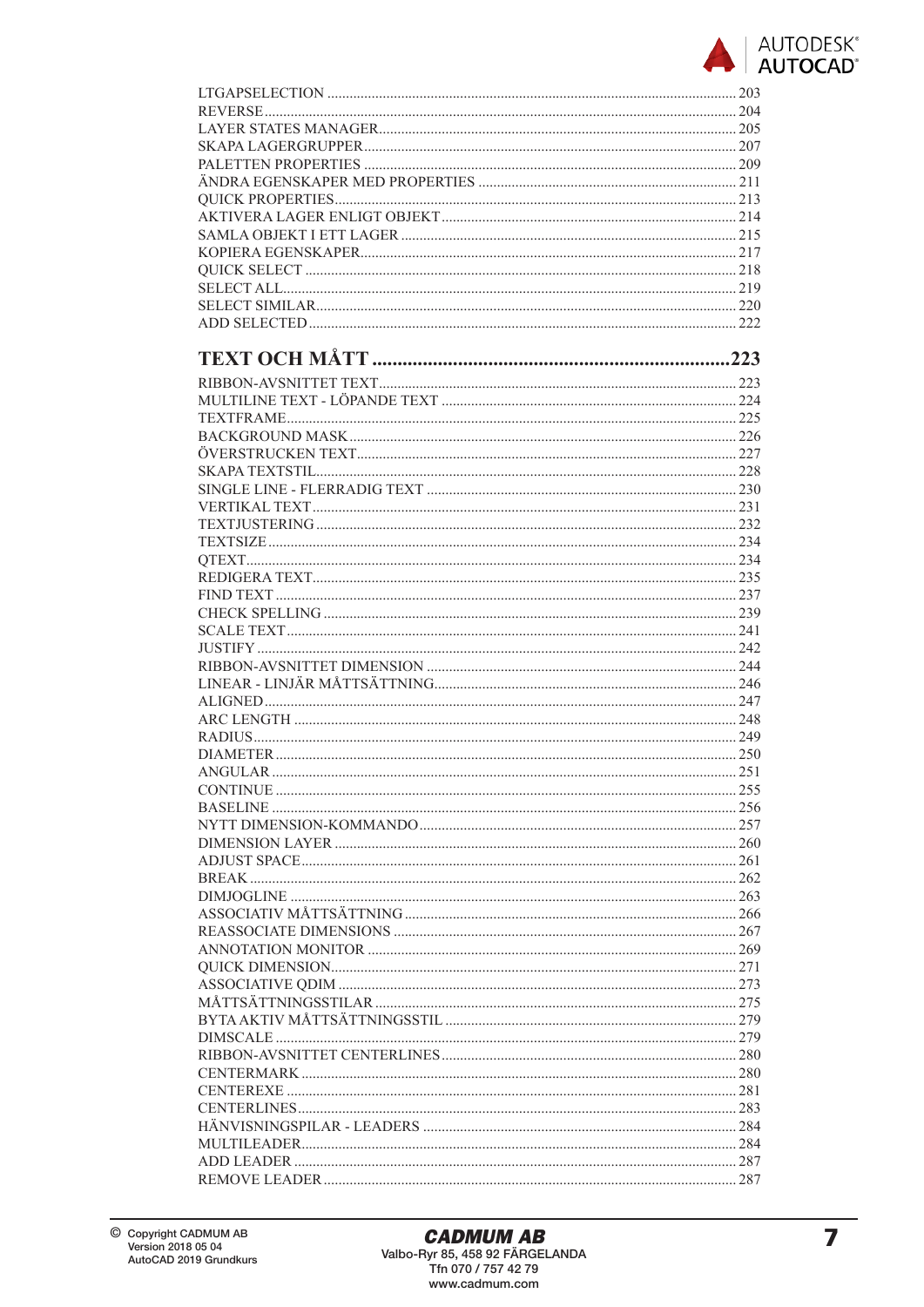

| LTGAPSELECTION 203 |  |
|--------------------|--|
|                    |  |
|                    |  |
|                    |  |
|                    |  |
|                    |  |
|                    |  |
|                    |  |
|                    |  |
|                    |  |
|                    |  |
|                    |  |
|                    |  |
|                    |  |
|                    |  |
|                    |  |
|                    |  |
|                    |  |
|                    |  |
|                    |  |
|                    |  |
|                    |  |
|                    |  |
|                    |  |
|                    |  |
|                    |  |
|                    |  |
|                    |  |
|                    |  |
|                    |  |
|                    |  |
|                    |  |
|                    |  |
|                    |  |
|                    |  |
|                    |  |
|                    |  |
|                    |  |
|                    |  |
|                    |  |
|                    |  |
|                    |  |
|                    |  |
|                    |  |
|                    |  |
|                    |  |
|                    |  |
|                    |  |
|                    |  |
|                    |  |
|                    |  |
|                    |  |
|                    |  |
|                    |  |
|                    |  |
|                    |  |
|                    |  |
|                    |  |
|                    |  |
|                    |  |
|                    |  |
|                    |  |
|                    |  |
|                    |  |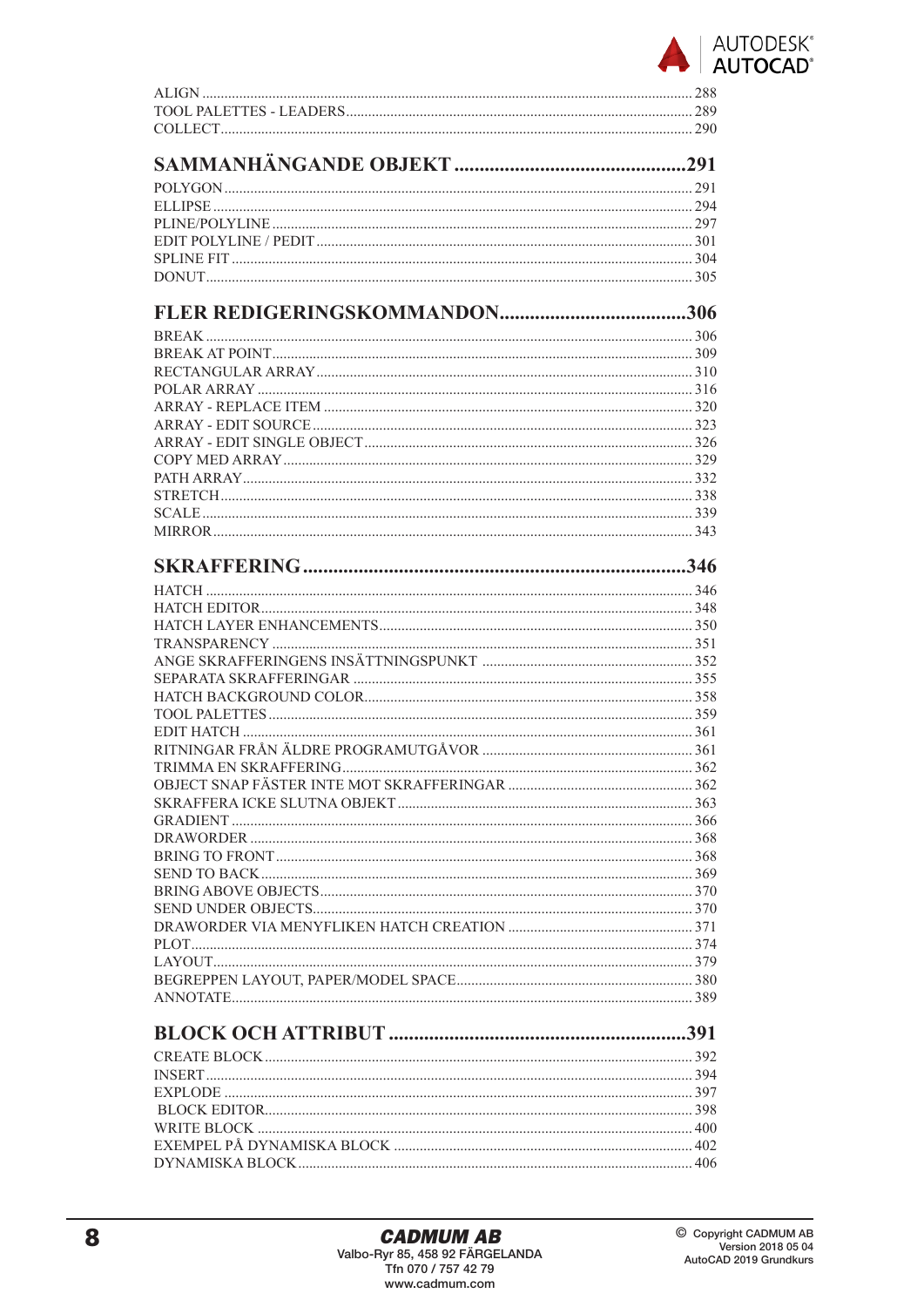

##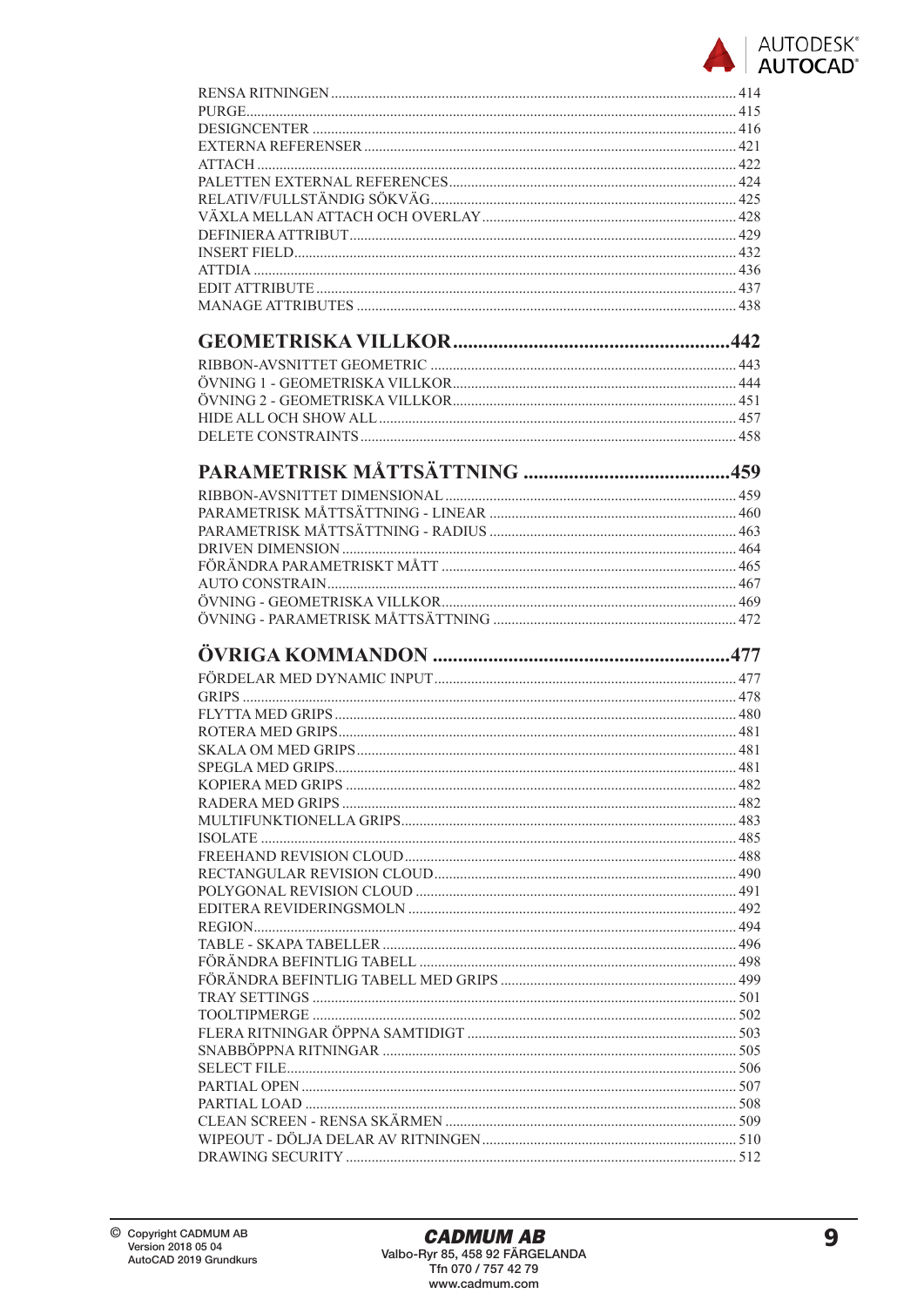